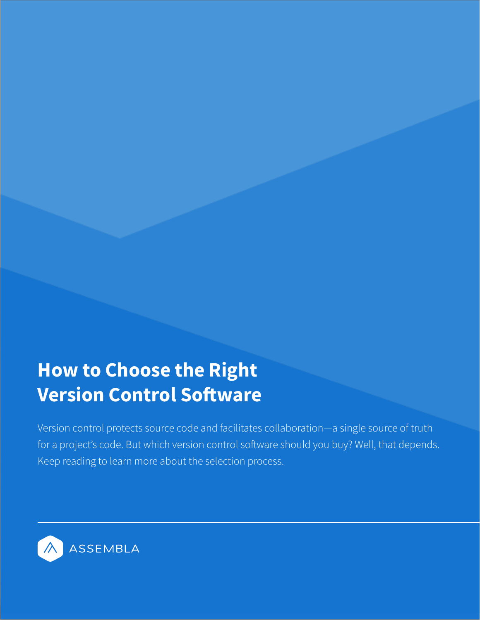# **How to Choose the Right Version Control Software**

Version control protects source code and facilitates collaboration—a single source of truth for a project's code. But which version control software should you buy? Well, that depends. Keep reading to learn more about the selection process.

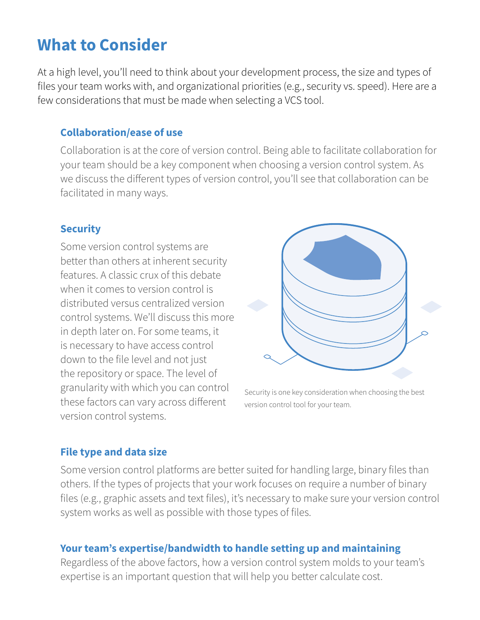# **What to Consider**

At a high level, you'll need to think about your development process, the size and types of files your team works with, and organizational priorities (e.g., security vs. speed). Here are a few considerations that must be made when selecting a VCS tool.

#### **Collaboration/ease of use**

Collaboration is at the core of version control. Being able to facilitate collaboration for your team should be a key component when choosing a version control system. As we discuss the different types of version control, you'll see that collaboration can be facilitated in many ways.

#### **Security**

Some version control systems are better than others at inherent security features. A classic crux of this debate when it comes to version control is distributed versus centralized version control systems. We'll discuss this more in depth later on. For some teams, it is necessary to have access control down to the file level and not just the repository or space. The level of granularity with which you can control these factors can vary across different version control systems.



Security is one key consideration when choosing the best version control tool for your team.

#### **File type and data size**

Some version control platforms are better suited for handling large, binary files than others. If the types of projects that your work focuses on require a number of binary files (e.g., graphic assets and text files), it's necessary to make sure your version control system works as well as possible with those types of files.

#### **Your team's expertise/bandwidth to handle setting up and maintaining**

Regardless of the above factors, how a version control system molds to your team's expertise is an important question that will help you better calculate cost.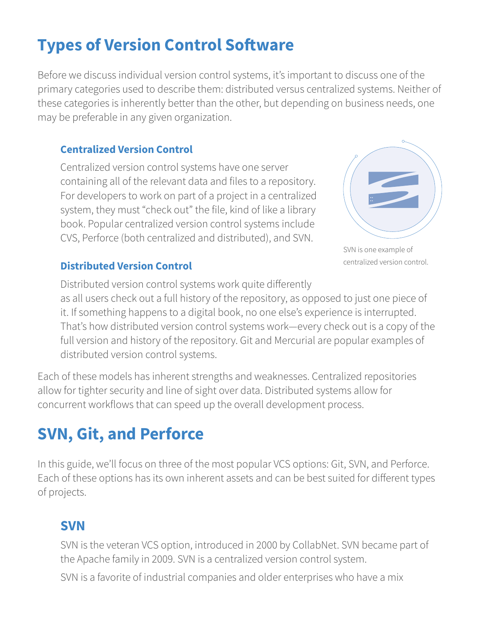# **Types of Version Control Software**

Before we discuss individual version control systems, it's important to discuss one of the primary categories used to describe them: distributed versus centralized systems. Neither of these categories is inherently better than the other, but depending on business needs, one may be preferable in any given organization.

#### **Centralized Version Control**

Centralized version control systems have one server containing all of the relevant data and files to a repository. For developers to work on part of a project in a centralized system, they must "check out" the file, kind of like a library book. Popular centralized version control systems include CVS, Perforce (both centralized and distributed), and SVN.



SVN is one example of centralized version control.

#### **Distributed Version Control**

Distributed version control systems work quite differently as all users check out a full history of the repository, as opposed to just one piece of it. If something happens to a digital book, no one else's experience is interrupted. That's how distributed version control systems work—every check out is a copy of the full version and history of the repository. Git and Mercurial are popular examples of distributed version control systems.

Each of these models has inherent strengths and weaknesses. Centralized repositories allow for tighter security and line of sight over data. Distributed systems allow for concurrent workflows that can speed up the overall development process.

# **SVN, Git, and Perforce**

In this guide, we'll focus on three of the most popular VCS options: Git, SVN, and Perforce. Each of these options has its own inherent assets and can be best suited for different types of projects.

## **SVN**

SVN is the veteran VCS option, introduced in 2000 by CollabNet. SVN became part of the Apache family in 2009. SVN is a centralized version control system.

SVN is a favorite of industrial companies and older enterprises who have a mix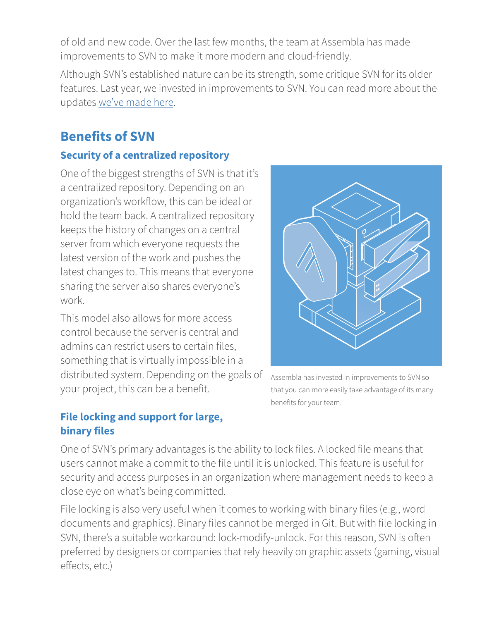of old and new code. Over the last few months, the team at Assembla has made improvements to SVN to make it more modern and cloud-friendly.

Although SVN's established nature can be its strength, some critique SVN for its older features. Last year, we invested in improvements to SVN. You can read more about the updates [we've made here](https://www.assembla.com/subversion?utm_medium=PPC&utm_source=Google&utm_campaign=18_Q3_ChooseVCS_Content&ls=Content&ssd=Choose_Your_VCS_Content_Download_GPPC_LP).

# **Benefits of SVN**

#### **Security of a centralized repository**

One of the biggest strengths of SVN is that it's a centralized repository. Depending on an organization's workflow, this can be ideal or hold the team back. A centralized repository keeps the history of changes on a central server from which everyone requests the latest version of the work and pushes the latest changes to. This means that everyone sharing the server also shares everyone's work.

This model also allows for more access control because the server is central and admins can restrict users to certain files, something that is virtually impossible in a distributed system. Depending on the goals of your project, this can be a benefit.

Assembla has invested in improvements to SVN so that you can more easily take advantage of its many benefits for your team.

#### **File locking and support for large, binary files**

One of SVN's primary advantages is the ability to lock files. A locked file means that users cannot make a commit to the file until it is unlocked. This feature is useful for security and access purposes in an organization where management needs to keep a close eye on what's being committed.

File locking is also very useful when it comes to working with binary files (e.g., word documents and graphics). Binary files cannot be merged in Git. But with file locking in SVN, there's a suitable workaround: lock-modify-unlock. For this reason, SVN is often preferred by designers or companies that rely heavily on graphic assets (gaming, visual effects, etc.)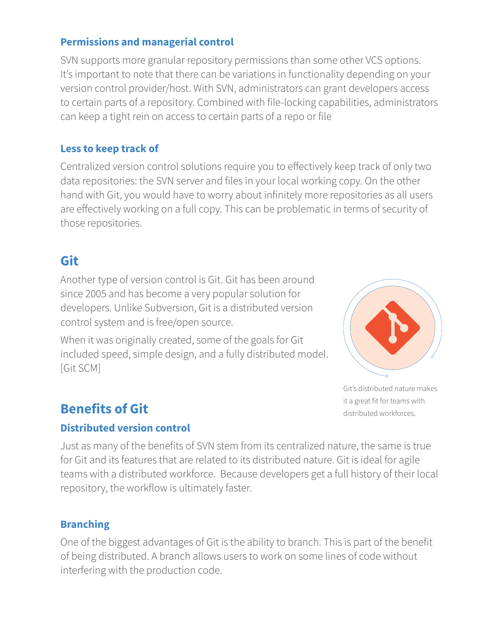#### **Permissions and managerial control**

SVN supports more granular repository permissions than some other VCS options. It's important to note that there can be variations in functionality depending on your version control provider/host. With SVN, administrators can grant developers access to certain parts of a repository. Combined with file-locking capabilities, administrators can keep a tight rein on access to certain parts of a repo or file

#### **Less to keep track of**

Centralized version control solutions require you to effectively keep track of only two data repositories: the SVN server and files in your local working copy. On the other hand with Git, you would have to worry about infinitely more repositories as all users are effectively working on a full copy. This can be problematic in terms of security of those repositories.

## **Git**

Another type of version control is Git. Git has been around since 2005 and has become a very popular solution for developers. Unlike Subversion, Git is a distributed version control system and is free/open source.

When it was originally created, some of the goals for Git included speed, simple design, and a fully distributed model. [Git SCM]



Git's distributed nature makes it a great fit for teams with distributed workforces.

# **Benefits of Git**

#### **Distributed version control**

Just as many of the benefits of SVN stem from its centralized nature, the same is true for Git and its features that are related to its distributed nature. Git is ideal for agile teams with a distributed workforce. Because developers get a full history of their local repository, the workflow is ultimately faster.

#### **Branching**

One of the biggest advantages of Git is the ability to branch. This is part of the benefit of being distributed. A branch allows users to work on some lines of code without interfering with the production code.